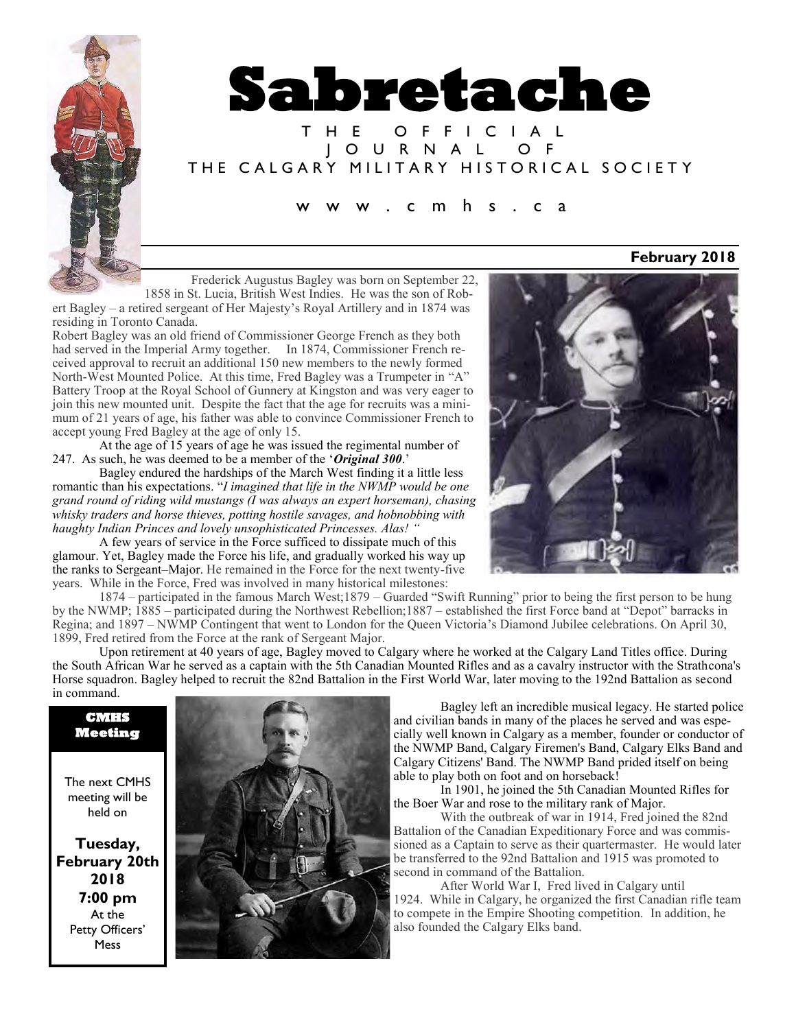

# **Sabretache**

### T H E O F F I C I A L J O U R N A L O F THE CALGARY MILITARY HISTORICAL SOCIETY

#### c m h s . c a

Frederick Augustus Bagley was born on September 22,

1858 in St. Lucia, British West Indies. He was the son of Robert Bagley – a retired sergeant of Her Majesty's Royal Artillery and in 1874 was residing in Toronto Canada.

Robert Bagley was an old friend of Commissioner George French as they both had served in the Imperial Army together. In 1874, Commissioner French received approval to recruit an additional 150 new members to the newly formed North-West Mounted Police. At this time, Fred Bagley was a Trumpeter in "A" Battery Troop at the Royal School of Gunnery at Kingston and was very eager to join this new mounted unit. Despite the fact that the age for recruits was a minimum of 21 years of age, his father was able to convince Commissioner French to accept young Fred Bagley at the age of only 15.

At the age of 15 years of age he was issued the regimental number of 247. As such, he was deemed to be a member of the '*Original 300*.'

Bagley endured the hardships of the March West finding it a little less romantic than his expectations. "*I imagined that life in the NWMP would be one grand round of riding wild mustangs (I was always an expert horseman), chasing whisky traders and horse thieves, potting hostile savages, and hobnobbing with haughty Indian Princes and lovely unsophisticated Princesses. Alas! "*

A few years of service in the Force sufficed to dissipate much of this glamour. Yet, Bagley made the Force his life, and gradually worked his way up the ranks to Sergeant–Major. He remained in the Force for the next twenty-five years. While in the Force, Fred was involved in many historical milestones:



Upon retirement at 40 years of age, Bagley moved to Calgary where he worked at the Calgary Land Titles office. During the South African War he served as a captain with the 5th Canadian Mounted Rifles and as a cavalry instructor with the Strathcona's Horse squadron. Bagley helped to recruit the 82nd Battalion in the First World War, later moving to the 192nd Battalion as second in command.



Bagley left an incredible musical legacy. He started police and civilian bands in many of the places he served and was especially well known in Calgary as a member, founder or conductor of the NWMP Band, Calgary Firemen's Band, Calgary Elks Band and Calgary Citizens' Band. The NWMP Band prided itself on being able to play both on foot and on horseback!

In 1901, he joined the 5th Canadian Mounted Rifles for the Boer War and rose to the military rank of Major.

With the outbreak of war in 1914, Fred joined the 82nd Battalion of the Canadian Expeditionary Force and was commissioned as a Captain to serve as their quartermaster. He would later be transferred to the 92nd Battalion and 1915 was promoted to second in command of the Battalion.

After World War I, Fred lived in Calgary until 1924. While in Calgary, he organized the first Canadian rifle team to compete in the Empire Shooting competition. In addition, he also founded the Calgary Elks band.

**February 2018**

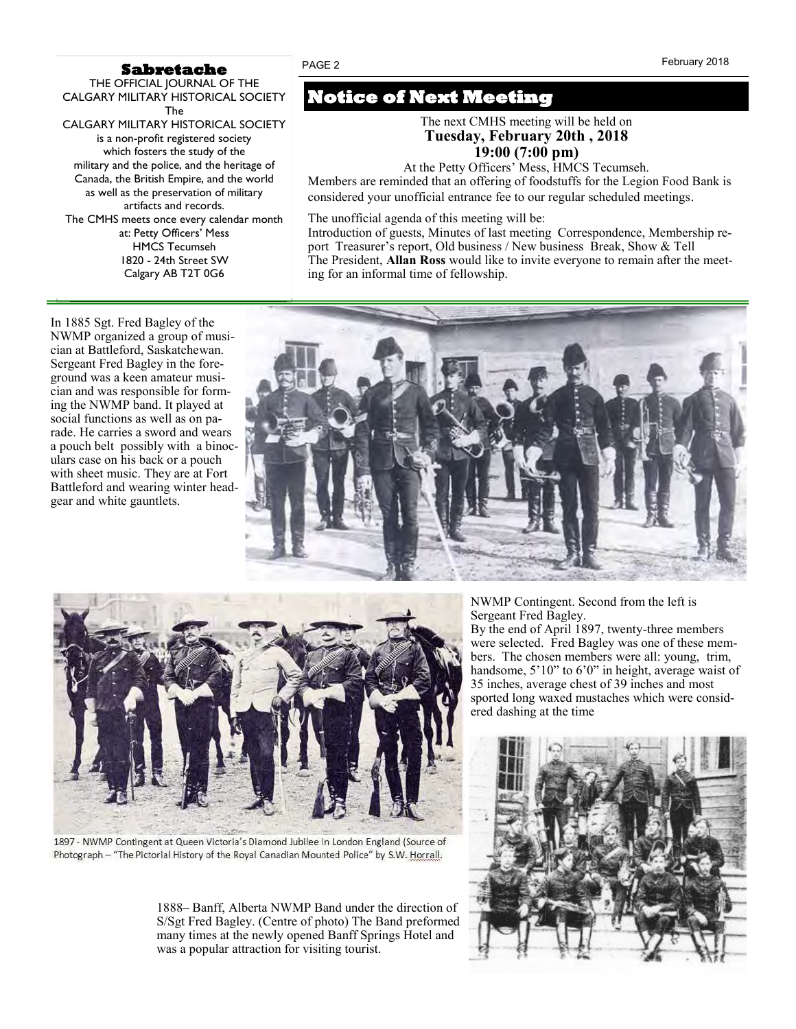#### **Sabretache**

THE OFFICIAL JOURNAL OF THE CALGARY MILITARY HISTORICAL SOCIETY The CALGARY MILITARY HISTORICAL SOCIETY is a non-profit registered society which fosters the study of the military and the police, and the heritage of Canada, the British Empire, and the world as well as the preservation of military artifacts and records. The CMHS meets once every calendar month at: Petty Officers' Mess HMCS Tecumseh 1820 - 24th Street SW Calgary AB T2T 0G6

In 1885 Sgt. Fred Bagley of the NWMP organized a group of musician at Battleford, Saskatchewan. Sergeant Fred Bagley in the foreground was a keen amateur musician and was responsible for forming the NWMP band. It played at social functions as well as on parade. He carries a sword and wears a pouch belt possibly with a binoculars case on his back or a pouch with sheet music. They are at Fort Battleford and wearing winter headgear and white gauntlets.

# **Notice of Next Meeting**

PAGE 2

The next CMHS meeting will be held on **Tuesday, February 20th , 2018 19:00 (7:00 pm)**

At the Petty Officers' Mess, HMCS Tecumseh.

Members are reminded that an offering of foodstuffs for the Legion Food Bank is considered your unofficial entrance fee to our regular scheduled meetings*.*

The unofficial agenda of this meeting will be:

Introduction of guests, Minutes of last meeting Correspondence, Membership report Treasurer's report, Old business / New business Break, Show & Tell The President, **Allan Ross** would like to invite everyone to remain after the meeting for an informal time of fellowship.





1897 - NWMP Contingent at Queen Victoria's Diamond Jubilee in London England (Source of Photograph - "The Pictorial History of the Royal Canadian Mounted Police" by S.W. Horrall.

1888– Banff, Alberta NWMP Band under the direction of S/Sgt Fred Bagley. (Centre of photo) The Band preformed many times at the newly opened Banff Springs Hotel and was a popular attraction for visiting tourist.

NWMP Contingent. Second from the left is Sergeant Fred Bagley. By the end of April 1897, twenty-three members were selected. Fred Bagley was one of these members. The chosen members were all: young, trim, handsome, 5'10" to 6'0" in height, average waist of

35 inches, average chest of 39 inches and most sported long waxed mustaches which were considered dashing at the time

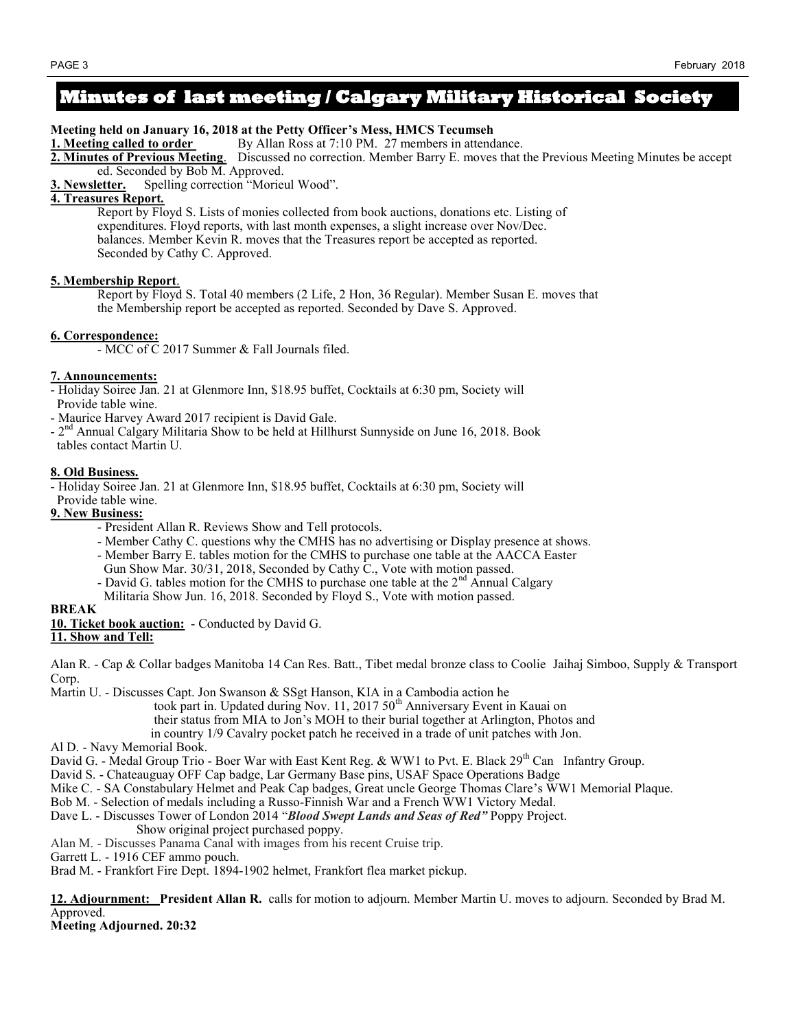## **Minutes of last meeting / Calgary Military Historical Society**

**Meeting held on January 16, 2018 at the Petty Officer's Mess, HMCS Tecumseh**

**1. Meeting called to order** By Allan Ross at 7:10 PM. 27 members in attendance.

**2. Minutes of Previous Meeting**. Discussed no correction. Member Barry E. moves that the Previous Meeting Minutes be accept ed. Seconded by Bob M. Approved.

**3. Newsletter.** Spelling correction "Morieul Wood".

#### **4. Treasures Report***.*

Report by Floyd S. Lists of monies collected from book auctions, donations etc. Listing of expenditures. Floyd reports, with last month expenses, a slight increase over Nov/Dec. balances. Member Kevin R. moves that the Treasures report be accepted as reported. Seconded by Cathy C. Approved.

#### **5. Membership Report**.

Report by Floyd S. Total 40 members (2 Life, 2 Hon, 36 Regular). Member Susan E. moves that the Membership report be accepted as reported. Seconded by Dave S. Approved.

#### **6. Correspondence:**

- MCC of C 2017 Summer & Fall Journals filed.

#### **7. Announcements:**

- Holiday Soiree Jan. 21 at Glenmore Inn, \$18.95 buffet, Cocktails at 6:30 pm, Society will Provide table wine.

- Maurice Harvey Award 2017 recipient is David Gale.
- 2<sup>nd</sup> Annual Calgary Militaria Show to be held at Hillhurst Sunnyside on June 16, 2018. Book
- tables contact Martin U.

#### **8. Old Business.**

- Holiday Soiree Jan. 21 at Glenmore Inn, \$18.95 buffet, Cocktails at 6:30 pm, Society will

- Provide table wine.
- **9. New Business:**
	- President Allan R. Reviews Show and Tell protocols.
	- Member Cathy C. questions why the CMHS has no advertising or Display presence at shows.
	- Member Barry E. tables motion for the CMHS to purchase one table at the AACCA Easter
	- Gun Show Mar. 30/31, 2018, Seconded by Cathy C., Vote with motion passed.
	- David G. tables motion for the CMHS to purchase one table at the  $2<sup>nd</sup>$  Annual Calgary Militaria Show Jun. 16, 2018. Seconded by Floyd S., Vote with motion passed.

#### **BREAK**

**10. Ticket book auction:** - Conducted by David G.

#### **11. Show and Tell:**

Alan R. - Cap & Collar badges Manitoba 14 Can Res. Batt., Tibet medal bronze class to Coolie Jaihaj Simboo, Supply & Transport Corp.

Martin U. - Discusses Capt. Jon Swanson & SSgt Hanson, KIA in a Cambodia action he

took part in. Updated during Nov. 11, 2017 50<sup>th</sup> Anniversary Event in Kauai on

their status from MIA to Jon's MOH to their burial together at Arlington, Photos and

in country 1/9 Cavalry pocket patch he received in a trade of unit patches with Jon.

Al D. - Navy Memorial Book.

David G. - Medal Group Trio - Boer War with East Kent Reg. & WW1 to Pvt. E. Black  $29<sup>th</sup>$  Can Infantry Group.

David S. - Chateauguay OFF Cap badge, Lar Germany Base pins, USAF Space Operations Badge

- Mike C. SA Constabulary Helmet and Peak Cap badges, Great uncle George Thomas Clare's WW1 Memorial Plaque.
- Bob M. Selection of medals including a Russo-Finnish War and a French WW1 Victory Medal.

Dave L. - Discusses Tower of London 2014 "*Blood Swept Lands and Seas of Red"* Poppy Project.

- Show original project purchased poppy.
- Alan M. Discusses Panama Canal with images from his recent Cruise trip.
- Garrett L. 1916 CEF ammo pouch.

Brad M. - Frankfort Fire Dept. 1894-1902 helmet, Frankfort flea market pickup.

**12. Adjournment: President Allan R.** calls for motion to adjourn. Member Martin U. moves to adjourn. Seconded by Brad M. Approved.

#### **Meeting Adjourned. 20:32**